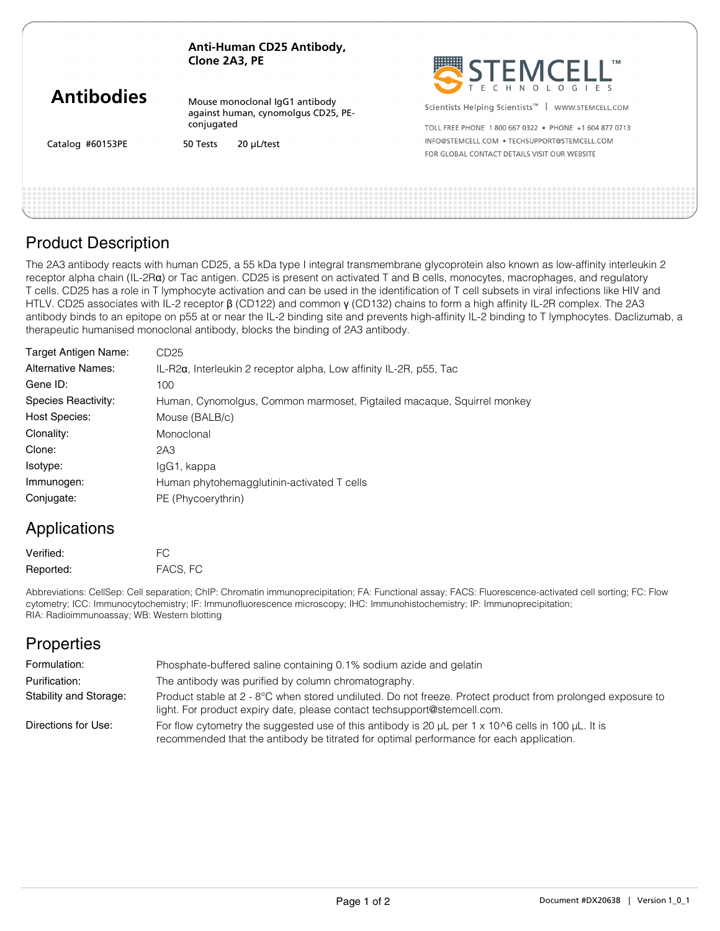**Anti-Human CD25 Antibody, Clone 2A3, PE**

| <b>Antibodies</b> |
|-------------------|
|-------------------|

Catalog #60153PE

Mouse monoclonal IgG1 antibody against human, cynomolgus CD25, PEconjugated

50 Tests 20 μL/test



Scientists Helping Scientists<sup>™</sup> | WWW.STEMCELL.COM

TOLL FREE PHONE 1 800 667 0322 · PHONE +1 604 877 0713 INFO@STEMCELL.COM .TECHSUPPORT@STEMCELL.COM FOR GLOBAL CONTACT DETAILS VISIT OUR WERSITE

### Product Description

The 2A3 antibody reacts with human CD25, a 55 kDa type I integral transmembrane glycoprotein also known as low-affinity interleukin 2 receptor alpha chain (IL-2Rα) or Tac antigen. CD25 is present on activated T and B cells, monocytes, macrophages, and regulatory T cells. CD25 has a role in T lymphocyte activation and can be used in the identification of T cell subsets in viral infections like HIV and HTLV. CD25 associates with IL-2 receptor β (CD122) and common γ (CD132) chains to form a high affinity IL-2R complex. The 2A3 antibody binds to an epitope on p55 at or near the IL-2 binding site and prevents high-affinity IL-2 binding to T lymphocytes. Daclizumab, a therapeutic humanised monoclonal antibody, blocks the binding of 2A3 antibody.

| CD25                                                                       |
|----------------------------------------------------------------------------|
| $IL-R2\alpha$ , Interleukin 2 receptor alpha, Low affinity IL-2R, p55, Tac |
| 100                                                                        |
| Human, Cynomolgus, Common marmoset, Pigtailed macaque, Squirrel monkey     |
| Mouse (BALB/c)                                                             |
| Monoclonal                                                                 |
| 2A3                                                                        |
| IgG1, kappa                                                                |
| Human phytohemagglutinin-activated T cells                                 |
| PE (Phycoerythrin)                                                         |
|                                                                            |

# Applications

| Verified: | FC.      |
|-----------|----------|
| Reported: | FACS, FC |

Abbreviations: CellSep: Cell separation; ChIP: Chromatin immunoprecipitation; FA: Functional assay; FACS: Fluorescence-activated cell sorting; FC: Flow cytometry; ICC: Immunocytochemistry; IF: Immunofluorescence microscopy; IHC: Immunohistochemistry; IP: Immunoprecipitation; RIA: Radioimmunoassay; WB: Western blotting

# **Properties**

| Formulation:           | Phosphate-buffered saline containing 0.1% sodium azide and gelatin                                                                                                                                      |
|------------------------|---------------------------------------------------------------------------------------------------------------------------------------------------------------------------------------------------------|
| Purification:          | The antibody was purified by column chromatography.                                                                                                                                                     |
| Stability and Storage: | Product stable at 2 - 8°C when stored undiluted. Do not freeze. Protect product from prolonged exposure to<br>light. For product expiry date, please contact techsupport@stemcell.com.                  |
| Directions for Use:    | For flow cytometry the suggested use of this antibody is 20 $\mu$ L per 1 x 10^6 cells in 100 $\mu$ L. It is<br>recommended that the antibody be titrated for optimal performance for each application. |